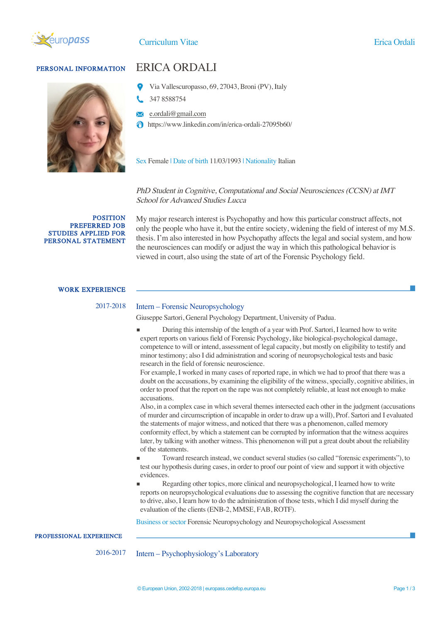

# PERSONAL INFORMATION ERICA ORDALI



- Via Vallescuropasso, 69, 27043, Broni (PV), Italy
- 347 8588754
- **E** e.ordali@gmail.com
- https://www.linkedin.com/in/erica-ordali-27095b60/

Sex Female | Date of birth 11/03/1993 | Nationality Italian

## PhD Student in Cognitive, Computational and Social Neurosciences (CCSN) at IMT School for Advanced Studies Lucca

POSITION PREFERRED JOB STUDIES APPLIED FOR PERSONAL STATEMENT My major research interest is Psychopathy and how this particular construct affects, not only the people who have it, but the entire society, widening the field of interest of my M.S. thesis. I'm also interested in how Psychopathy affects the legal and social system, and how the neurosciences can modify or adjust the way in which this pathological behavior is viewed in court, also using the state of art of the Forensic Psychology field.

### WORK EXPERIENCE

# 2017-2018 Intern – Forensic Neuropsychology

Giuseppe Sartori, General Psychology Department, University of Padua.

During this internship of the length of a year with Prof. Sartori, I learned how to write expert reports on various field of Forensic Psychology, like biological-psychological damage, competence to will or intend, assessment of legal capacity, but mostly on eligibility to testify and minor testimony; also I did administration and scoring of neuropsychological tests and basic research in the field of forensic neuroscience.

For example, I worked in many cases of reported rape, in which we had to proof that there was a doubt on the accusations, by examining the eligibility of the witness, specially, cognitive abilities, in order to proof that the report on the rape was not completely reliable, at least not enough to make accusations.

Also, in a complex case in which several themes intersected each other in the judgment (accusations of murder and circumscription of incapable in order to draw up a will), Prof. Sartori and I evaluated the statements of major witness, and noticed that there was a phenomenon, called memory conformity effect, by which a statement can be corrupted by information that the witness acquires later, by talking with another witness. This phenomenon will put a great doubt about the reliability of the statements.

- **▪** Toward research instead, we conduct several studies (so called "forensic experiments"), to test our hypothesis during cases, in order to proof our point of view and support it with objective evidences.
- Regarding other topics, more clinical and neuropsychological, I learned how to write reports on neuropsychological evaluations due to assessing the cognitive function that are necessary to drive, also, I learn how to do the administration of those tests, which I did myself during the evaluation of the clients (ENB-2, MMSE, FAB, ROTF).

Business or sector Forensic Neuropsychology and Neuropsychological Assessment

PROFESSIONAL EXPERIENCE

2016-2017 Intern – Psychophysiology's Laboratory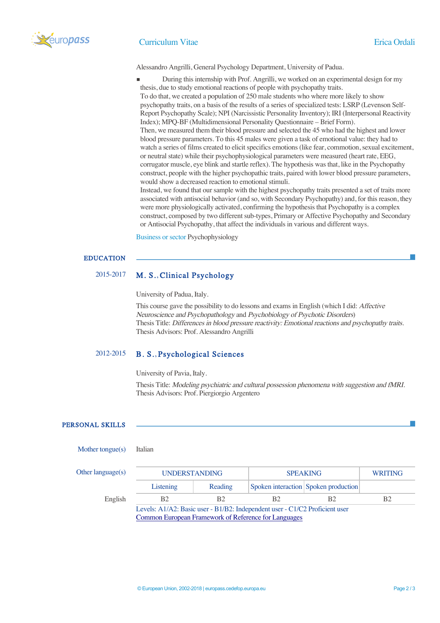

### Curriculum Vitae Erica Ordali

Alessandro Angrilli, General Psychology Department, University of Padua.

- During this internship with Prof. Angrilli, we worked on an experimental design for my thesis, due to study emotional reactions of people with psychopathy traits.
- To do that, we created a population of 250 male students who where more likely to show psychopathy traits, on a basis of the results of a series of specialized tests: LSRP (Levenson Self-Report Psychopathy Scale); NPI (Narcissistic Personality Inventory); IRI (Interpersonal Reactivity Index); MPQ-BF (Multidimensional Personality Questionnaire – Brief Form). Then, we measured them their blood pressure and selected the 45 who had the highest and lower blood pressure parameters. To this 45 males were given a task of emotional value: they had to watch a series of films created to elicit specifics emotions (like fear, commotion, sexual excitement, or neutral state) while their psychophysiological parameters were measured (heart rate, EEG, corrugator muscle, eye blink and startle reflex). The hypothesis was that, like in the Psychopathy

construct, people with the higher psychopathic traits, paired with lower blood pressure parameters, would show a decreased reaction to emotional stimuli.

Instead, we found that our sample with the highest psychopathy traits presented a set of traits more associated with antisocial behavior (and so, with Secondary Psychopathy) and, for this reason, they were more physiologically activated, confirming the hypothesis that Psychopathy is a complex construct, composed by two different sub-types, Primary or Affective Psychopathy and Secondary or Antisocial Psychopathy, that affect the individuals in various and different ways.

Business or sector Psychophysiology

# EDUCATION

# 2015-2017 M. S., Clinical Psychology

University of Padua, Italy.

This course gave the possibility to do lessons and exams in English (which I did: Affective Neuroscience and Psychopathology and Psychobiology of Psychotic Disorders) Thesis Title: Differences in blood pressure reactivity: Emotional reactions and psychopathy traits. Thesis Advisors: Prof. Alessandro Angrilli

# 2012-2015 B. S., Psychological Sciences

University of Pavia, Italy.

Thesis Title: Modeling psychiatric and cultural possession phenomena with suggestion and fMRI. Thesis Advisors: Prof. Piergiorgio Argentero

# PERSONAL SKILLS

### Mother tongue(s) Italian

| Other language $(s)$ | <b>UNDERSTANDING</b>                                                        |                | <b>SPEAKING</b> |                                      | <b>WRITING</b> |  |  |
|----------------------|-----------------------------------------------------------------------------|----------------|-----------------|--------------------------------------|----------------|--|--|
|                      | Listening                                                                   | Reading        |                 | Spoken interaction Spoken production |                |  |  |
| English              | <b>B</b> <sub>2</sub>                                                       | B <sub>2</sub> | B <sub>2</sub>  | B2                                   | B <sub>2</sub> |  |  |
|                      | Levels: A1/A2: Basic user - B1/B2: Independent user - C1/C2 Proficient user |                |                 |                                      |                |  |  |
|                      | <b>Common European Framework of Reference for Languages</b>                 |                |                 |                                      |                |  |  |